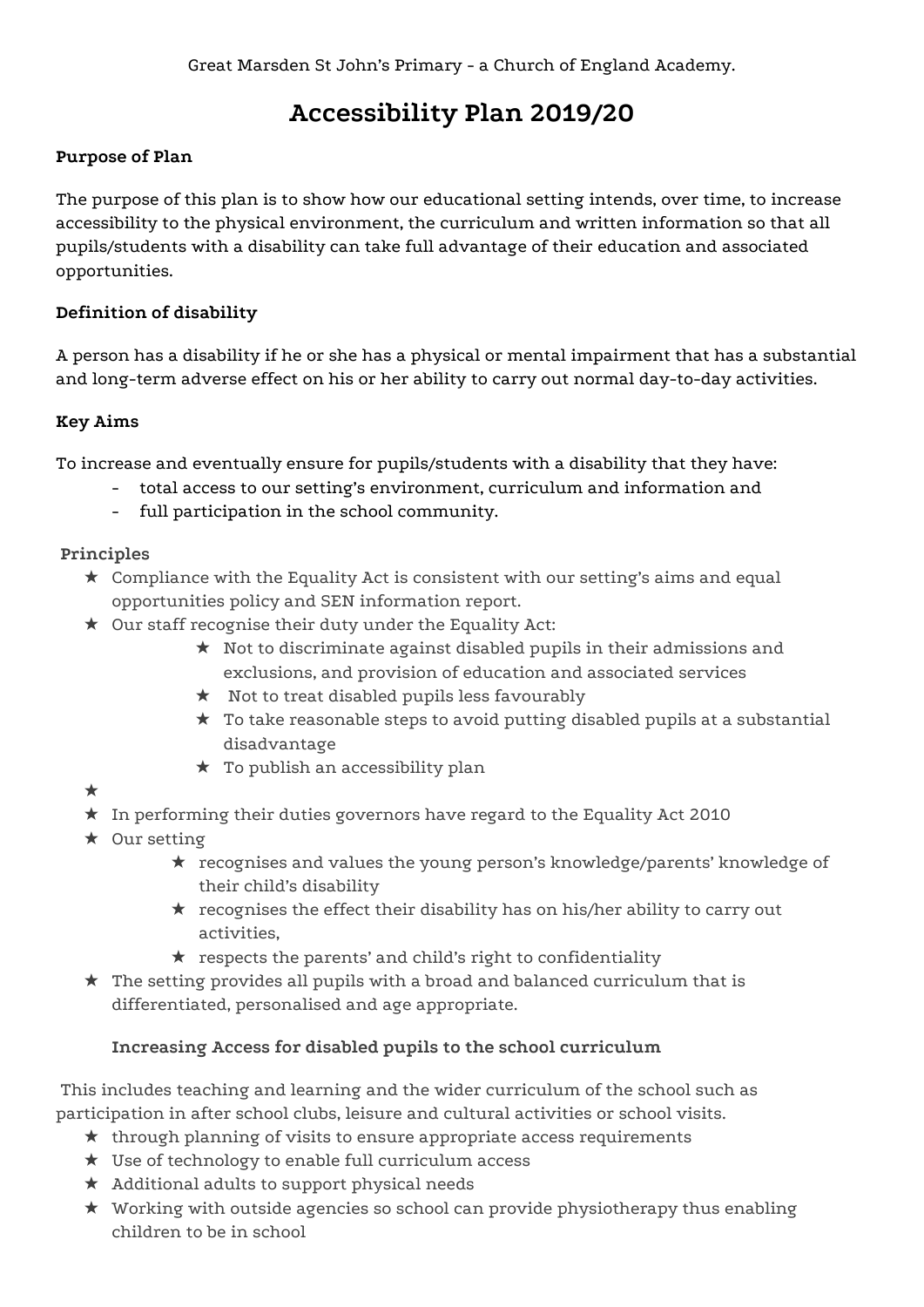# **Accessibility Plan 2019/20**

#### **Purpose of Plan**

The purpose of this plan is to show how our educational setting intends, over time, to increase accessibility to the physical environment, the curriculum and written information so that all pupils/students with a disability can take full advantage of their education and associated opportunities.

#### **Definition of disability**

A person has a disability if he or she has a physical or mental impairment that has a substantial and long-term adverse effect on his or her ability to carry out normal day-to-day activities.

#### **Key Aims**

To increase and eventually ensure for pupils/students with a disability that they have:

- total access to our setting's environment, curriculum and information and
- full participation in the school community.

#### **Principles**

- $\star$  Compliance with the Equality Act is consistent with our setting's aims and equal opportunities policy and SEN information report.
- ★ Our staff recognise their duty under the Equality Act:
	- ★ Not to discriminate against disabled pupils in their admissions and exclusions, and provision of education and associated services
	- ★ Not to treat disabled pupils less favourably
	- ★ To take reasonable steps to avoid putting disabled pupils at a substantial disadvantage
	- ★ To publish an accessibility plan
- ★
- ★ In performing their duties governors have regard to the Equality Act 2010
- ★ Our setting
	- ★ recognises and values the young person's knowledge/parents' knowledge of their child's disability
	- ★ recognises the effect their disability has on his/her ability to carry out activities,
	- ★ respects the parents' and child's right to confidentiality
- $\star$  The setting provides all pupils with a broad and balanced curriculum that is differentiated, personalised and age appropriate.

## **Increasing Access for disabled pupils to the school curriculum**

This includes teaching and learning and the wider curriculum of the school such as participation in after school clubs, leisure and cultural activities or school visits.

- ★ through planning of visits to ensure appropriate access requirements
- ★ Use of technology to enable full curriculum access
- ★ Additional adults to support physical needs
- ★ Working with outside agencies so school can provide physiotherapy thus enabling children to be in school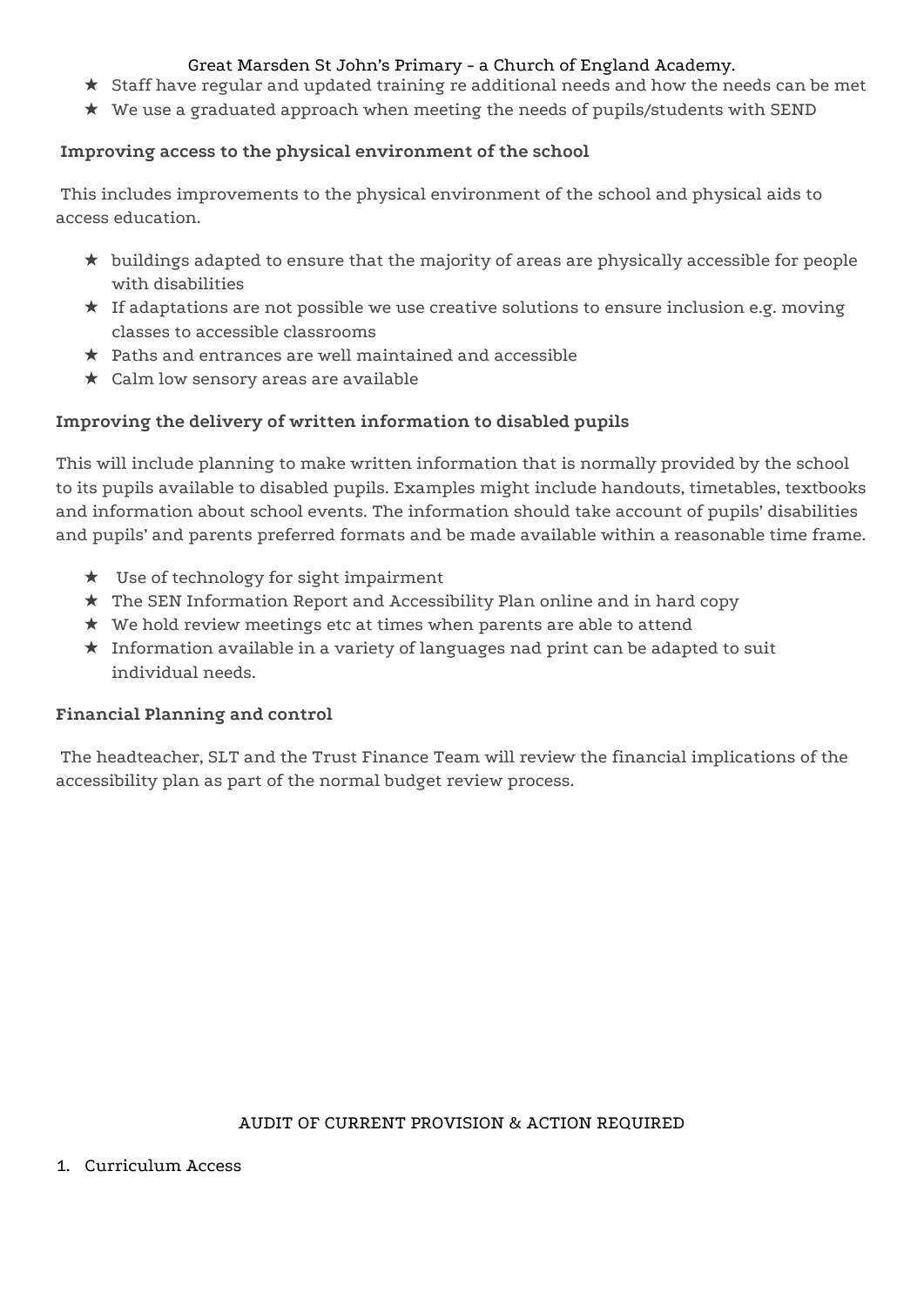#### Great Marsden St John's Primary - a Church of England Academy.

- ★ Staff have regular and updated training re additional needs and how the needs can be met
- ★ We use a graduated approach when meeting the needs of pupils/students with SEND

#### **Improving access to the physical environment of the school**

This includes improvements to the physical environment of the school and physical aids to access education.

- ★ buildings adapted to ensure that the majority of areas are physically accessible for people with disabilities
- ★ If adaptations are not possible we use creative solutions to ensure inclusion e.g. moving classes to accessible classrooms
- $\star$  Paths and entrances are well maintained and accessible
- ★ Calm low sensory areas are available

#### **Improving the delivery of written information to disabled pupils**

This will include planning to make written information that is normally provided by the school to its pupils available to disabled pupils. Examples might include handouts, timetables, textbooks and information about school events. The information should take account of pupils' disabilities and pupils' and parents preferred formats and be made available within a reasonable time frame.

- ★ Use of technology for sight impairment
- ★ The SEN Information Report and Accessibility Plan online and in hard copy
- ★ We hold review meetings etc at times when parents are able to attend
- ★ Information available in a variety of languages nad print can be adapted to suit individual needs.

#### **Financial Planning and control**

The headteacher, SLT and the Trust Finance Team will review the financial implications of the accessibility plan as part of the normal budget review process.

#### AUDIT OF CURRENT PROVISION & ACTION REQUIRED

1. Curriculum Access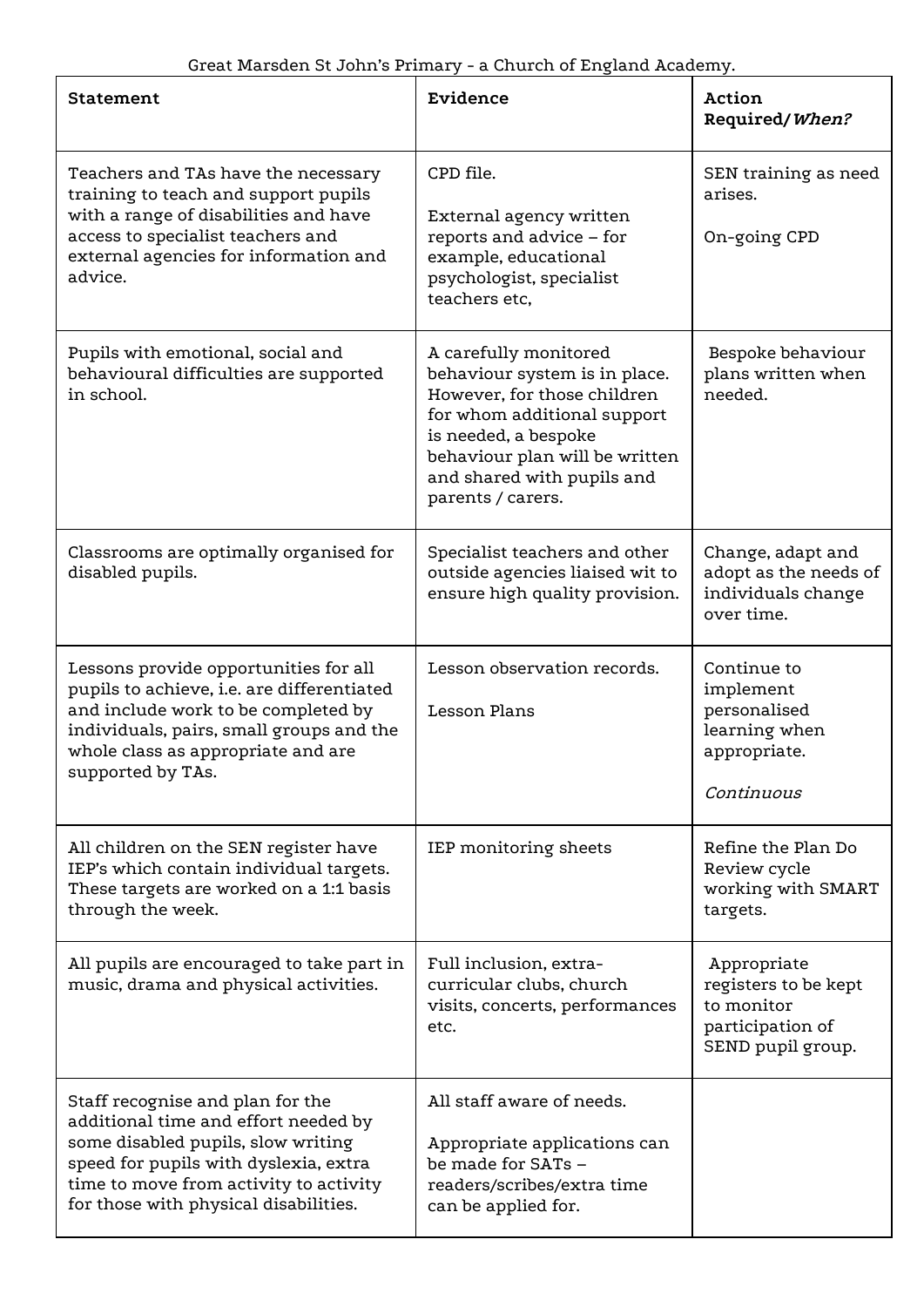| <b>Statement</b>                                                                                                                                                                                                                           | Evidence                                                                                                                                                                                                                          | Action<br>Required/When?                                                                   |
|--------------------------------------------------------------------------------------------------------------------------------------------------------------------------------------------------------------------------------------------|-----------------------------------------------------------------------------------------------------------------------------------------------------------------------------------------------------------------------------------|--------------------------------------------------------------------------------------------|
| Teachers and TAs have the necessary<br>training to teach and support pupils<br>with a range of disabilities and have<br>access to specialist teachers and<br>external agencies for information and<br>advice.                              | CPD file.<br>External agency written<br>reports and advice - for<br>example, educational<br>psychologist, specialist<br>teachers etc.                                                                                             | SEN training as need<br>arises.<br>On-going CPD                                            |
| Pupils with emotional, social and<br>behavioural difficulties are supported<br>in school.                                                                                                                                                  | A carefully monitored<br>behaviour system is in place.<br>However, for those children<br>for whom additional support<br>is needed, a bespoke<br>behaviour plan will be written<br>and shared with pupils and<br>parents / carers. | Bespoke behaviour<br>plans written when<br>needed.                                         |
| Classrooms are optimally organised for<br>disabled pupils.                                                                                                                                                                                 | Specialist teachers and other<br>outside agencies liaised wit to<br>ensure high quality provision.                                                                                                                                | Change, adapt and<br>adopt as the needs of<br>individuals change<br>over time.             |
| Lessons provide opportunities for all<br>pupils to achieve, i.e. are differentiated<br>and include work to be completed by<br>individuals, pairs, small groups and the<br>whole class as appropriate and are<br>supported by TAs.          | Lesson observation records.<br><b>Lesson Plans</b>                                                                                                                                                                                | Continue to<br>implement<br>personalised<br>learning when<br>appropriate.<br>Continuous    |
| All children on the SEN register have<br>IEP's which contain individual targets.<br>These targets are worked on a 1:1 basis<br>through the week.                                                                                           | IEP monitoring sheets                                                                                                                                                                                                             | Refine the Plan Do<br>Review cycle<br>working with SMART<br>targets.                       |
| All pupils are encouraged to take part in<br>music, drama and physical activities.                                                                                                                                                         | Full inclusion, extra-<br>curricular clubs, church<br>visits, concerts, performances<br>etc.                                                                                                                                      | Appropriate<br>registers to be kept<br>to monitor<br>participation of<br>SEND pupil group. |
| Staff recognise and plan for the<br>additional time and effort needed by<br>some disabled pupils, slow writing<br>speed for pupils with dyslexia, extra<br>time to move from activity to activity<br>for those with physical disabilities. | All staff aware of needs.<br>Appropriate applications can<br>be made for SATs -<br>readers/scribes/extra time<br>can be applied for.                                                                                              |                                                                                            |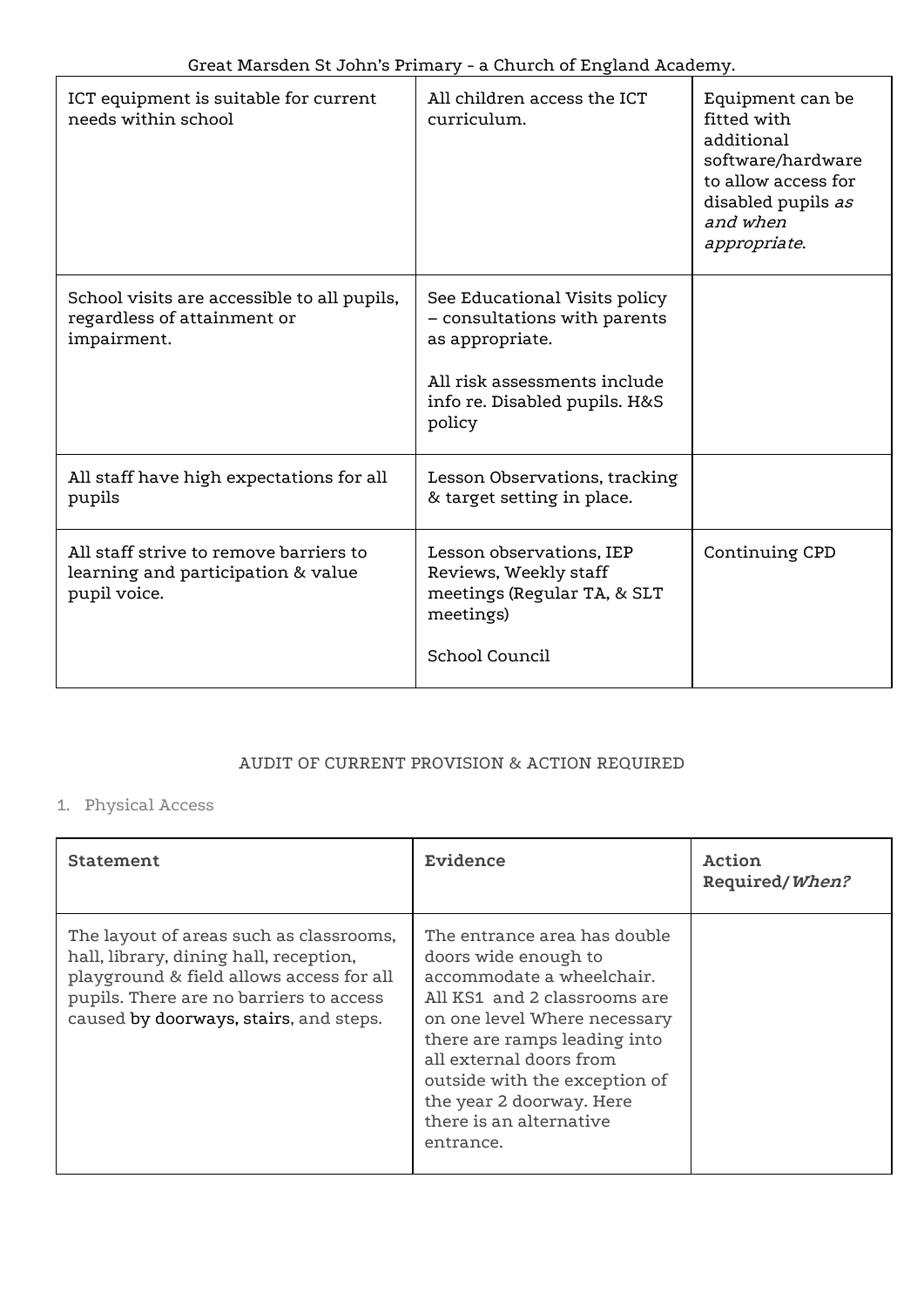| ICT equipment is suitable for current<br>needs within school                                 | All children access the ICT<br>curriculum.                                                                                                                  | Equipment can be<br>fitted with<br>additional<br>software/hardware<br>to allow access for<br>disabled pupils as<br>and when<br>appropriate. |
|----------------------------------------------------------------------------------------------|-------------------------------------------------------------------------------------------------------------------------------------------------------------|---------------------------------------------------------------------------------------------------------------------------------------------|
| School visits are accessible to all pupils,<br>regardless of attainment or<br>impairment.    | See Educational Visits policy<br>- consultations with parents<br>as appropriate.<br>All risk assessments include<br>info re. Disabled pupils. H&S<br>policy |                                                                                                                                             |
| All staff have high expectations for all<br>pupils                                           | Lesson Observations, tracking<br>& target setting in place.                                                                                                 |                                                                                                                                             |
| All staff strive to remove barriers to<br>learning and participation & value<br>pupil voice. | Lesson observations, IEP<br>Reviews, Weekly staff<br>meetings (Regular TA, & SLT<br>meetings)<br>School Council                                             | Continuing CPD                                                                                                                              |

#### AUDIT OF CURRENT PROVISION & ACTION REQUIRED

# 1. Physical Access

| Statement                                                                                                                                                                                                          | Evidence                                                                                                                                                                                                                                                                                                          | Action<br>Required/When? |
|--------------------------------------------------------------------------------------------------------------------------------------------------------------------------------------------------------------------|-------------------------------------------------------------------------------------------------------------------------------------------------------------------------------------------------------------------------------------------------------------------------------------------------------------------|--------------------------|
| The layout of areas such as classrooms,<br>hall, library, dining hall, reception,<br>playground & field allows access for all<br>pupils. There are no barriers to access<br>caused by doorways, stairs, and steps. | The entrance area has double<br>doors wide enough to<br>accommodate a wheelchair.<br>All KS1 and 2 classrooms are<br>on one level Where necessary<br>there are ramps leading into<br>all external doors from<br>outside with the exception of<br>the year 2 doorway. Here<br>there is an alternative<br>entrance. |                          |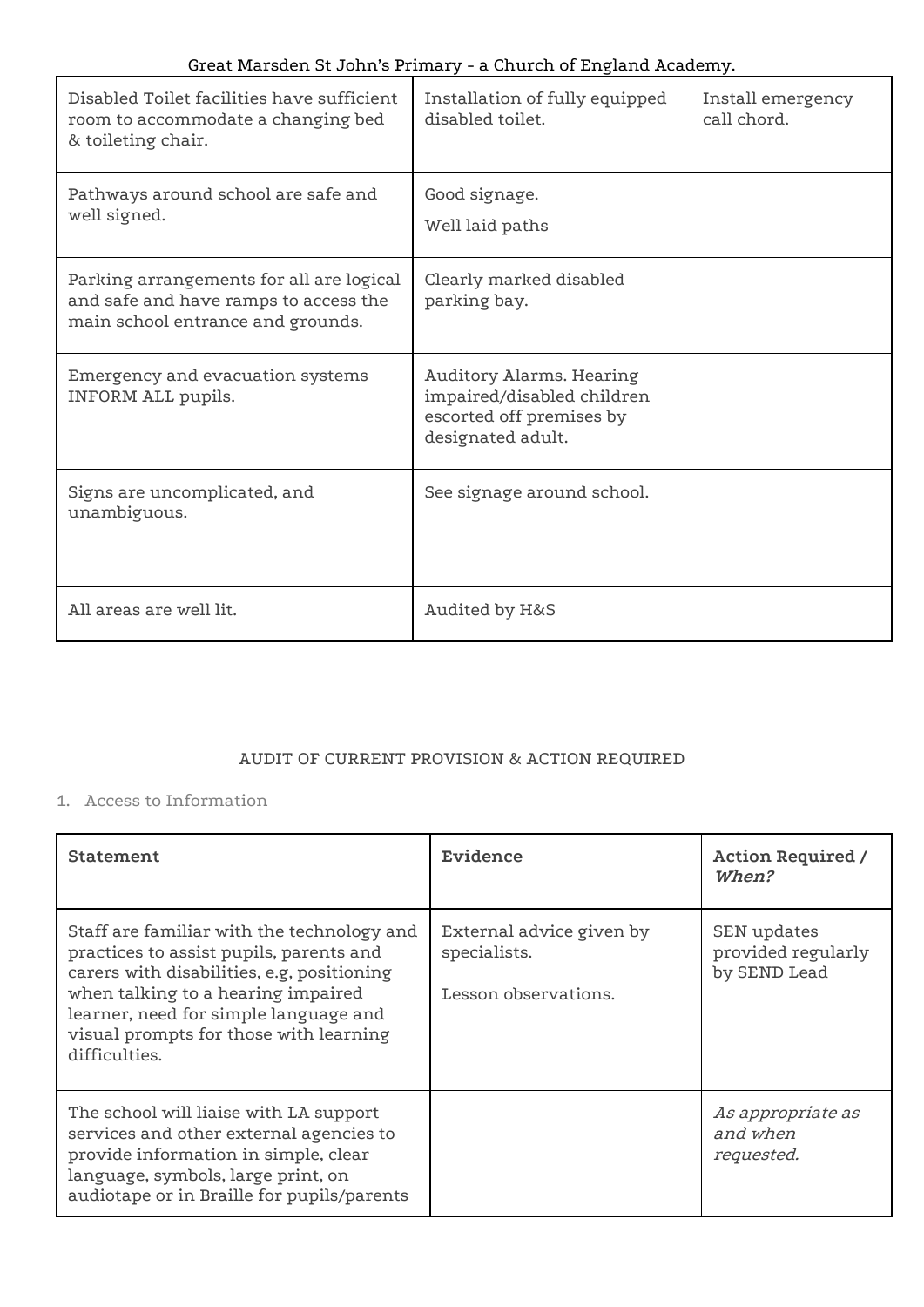| Disabled Toilet facilities have sufficient<br>room to accommodate a changing bed<br>& toileting chair.                 | Installation of fully equipped<br>disabled toilet.                                                      | Install emergency<br>call chord. |
|------------------------------------------------------------------------------------------------------------------------|---------------------------------------------------------------------------------------------------------|----------------------------------|
| Pathways around school are safe and<br>well signed.                                                                    | Good signage.<br>Well laid paths                                                                        |                                  |
| Parking arrangements for all are logical<br>and safe and have ramps to access the<br>main school entrance and grounds. | Clearly marked disabled<br>parking bay.                                                                 |                                  |
| Emergency and evacuation systems<br>INFORM ALL pupils.                                                                 | Auditory Alarms. Hearing<br>impaired/disabled children<br>escorted off premises by<br>designated adult. |                                  |
| Signs are uncomplicated, and<br>unambiguous.                                                                           | See signage around school.                                                                              |                                  |
| All areas are well lit.                                                                                                | Audited by H&S                                                                                          |                                  |

## AUDIT OF CURRENT PROVISION & ACTION REQUIRED

#### 1. Access to Information

| <b>Statement</b>                                                                                                                                                                                                                                                              | Evidence                                                         | <b>Action Required /</b><br>When?                 |
|-------------------------------------------------------------------------------------------------------------------------------------------------------------------------------------------------------------------------------------------------------------------------------|------------------------------------------------------------------|---------------------------------------------------|
| Staff are familiar with the technology and<br>practices to assist pupils, parents and<br>carers with disabilities, e.g, positioning<br>when talking to a hearing impaired<br>learner, need for simple language and<br>visual prompts for those with learning<br>difficulties. | External advice given by<br>specialists.<br>Lesson observations. | SEN updates<br>provided regularly<br>by SEND Lead |
| The school will liaise with LA support<br>services and other external agencies to<br>provide information in simple, clear<br>language, symbols, large print, on<br>audiotape or in Braille for pupils/parents                                                                 |                                                                  | As appropriate as<br>and when<br>requested.       |